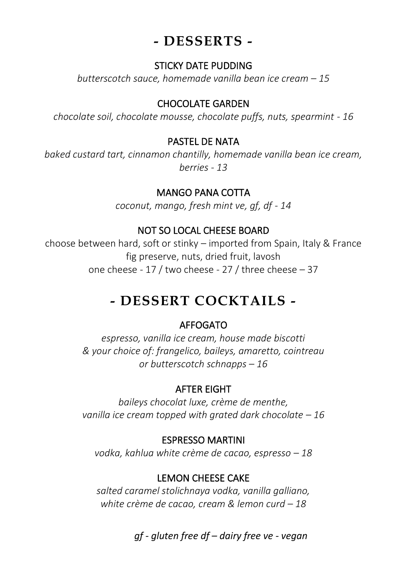## **- DESSERTS -**

#### STICKY DATE PUDDING

*butterscotch sauce, homemade vanilla bean ice cream – 15*

#### CHOCOLATE GARDEN

*chocolate soil, chocolate mousse, chocolate puffs, nuts, spearmint* - *16*

#### PASTEL DE NATA

*baked custard tart, cinnamon chantilly, homemade vanilla bean ice cream, berries - 13*

#### MANGO PANA COTTA

*coconut, mango, fresh mint ve, gf, df - 14*

## NOT SO LOCAL CHEESE BOARD

choose between hard, soft or stinky – imported from Spain, Italy & France fig preserve, nuts, dried fruit, lavosh one cheese - 17 / two cheese - 27 / three cheese – 37

# **- DESSERT COCKTAILS -**

## AFFOGATO

*espresso, vanilla ice cream, house made biscotti & your choice of: frangelico, baileys, amaretto, cointreau or butterscotch schnapps – 16*

## AFTER EIGHT

*baileys chocolat luxe, crème de menthe, vanilla ice cream topped with grated dark chocolate – 16* 

## ESPRESSO MARTINI

*vodka, kahlua white crème de cacao, espresso – 18*

## LEMON CHEESE CAKE

*salted caramel stolichnaya vodka, vanilla galliano, white crème de cacao, cream & lemon curd – 18*

*gf - gluten free df – dairy free ve - vegan*